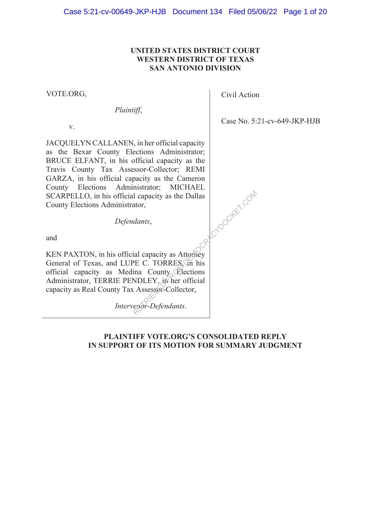## **UNITED STATES DISTRICT COURT WESTERN DISTRICT OF TEXAS SAN ANTONIO DIVISION**

VOTE.ORG,

*Plaintiff*,

v.

JACQUELYN CALLANEN, in her official capacity as the Bexar County Elections Administrator; BRUCE ELFANT, in his official capacity as the Travis County Tax Assessor-Collector; REMI GARZA, in his official capacity as the Cameron County Elections Administrator; MICHAEL SCARPELLO, in his official capacity as the Dallas County Elections Administrator, ACYDOCKET.COM

*Defendants*,

and

KEN PAXTON, in his official capacity as Attorney General of Texas, and LUPE C. TORRES, in his official capacity as Medina County Elections Administrator, TERRIE PENDLEY, in her official capacity as Real County Tax Assessor-Collector,

*Intervenor-Defendants*.

## **PLAINTIFF VOTE.ORG'S CONSOLIDATED REPLY IN SUPPORT OF ITS MOTION FOR SUMMARY JUDGMENT**

Civil Action

Case No. 5:21-cv-649-JKP-HJB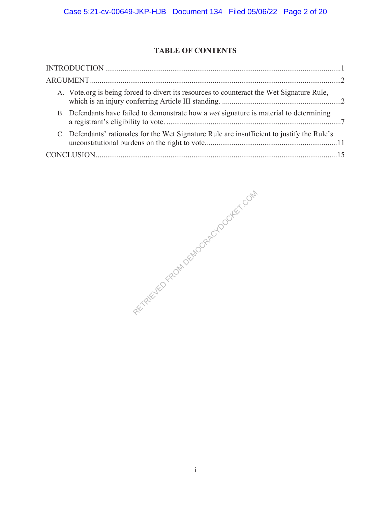# **TABLE OF CONTENTS**

| A. Vote.org is being forced to divert its resources to counteract the Wet Signature Rule,      |  |
|------------------------------------------------------------------------------------------------|--|
| B. Defendants have failed to demonstrate how a <i>wet</i> signature is material to determining |  |
| C. Defendants' rationales for the Wet Signature Rule are insufficient to justify the Rule's    |  |
|                                                                                                |  |

RETRIEVED FROM DEMOCRACYDOCKET.COM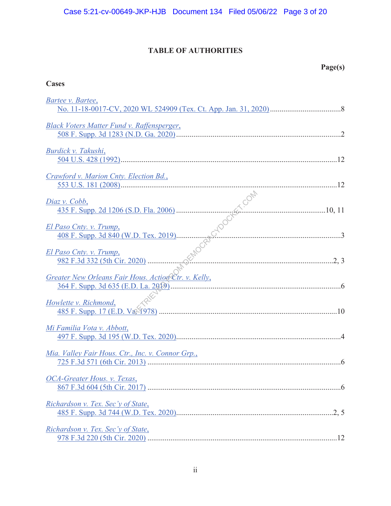# **TABLE OF AUTHORITIES**

**Cases** 

# **Page(s)**

| Bartee v. Bartee,                                                                                                                                                                                                |
|------------------------------------------------------------------------------------------------------------------------------------------------------------------------------------------------------------------|
| Black Voters Matter Fund v. Raffensperger,                                                                                                                                                                       |
| Burdick v. Takushi,                                                                                                                                                                                              |
| Crawford v. Marion Cnty. Election Bd.,                                                                                                                                                                           |
| Diaz v. Cobb,                                                                                                                                                                                                    |
| El Paso Cnty. v. Trump,                                                                                                                                                                                          |
| $az v. Cobb.\n435 F. Supp. 2d 1206 (S.D. Fla. 2006)  10, 11\nPaso Cnty. v. Trump.\n408 F. Supp. 3d 840 (W.D. Tex. 2019)  3\nPaso Cnty. v. Trump.\n982 F.3d 332 (5th Cir. 2020)  2, 3$<br>El Paso Cnty. v. Trump, |
| Greater New Orleans Fair Hous. Action Ctr. v. Kelly,                                                                                                                                                             |
| Howlette v. Richmond,                                                                                                                                                                                            |
| Mi Familia Vota v. Abbott,                                                                                                                                                                                       |
| Mia. Valley Fair Hous. Ctr., Inc. v. Connor Grp.,                                                                                                                                                                |
| OCA-Greater Hous. v. Texas,                                                                                                                                                                                      |
| Richardson v. Tex. Sec'y of State,                                                                                                                                                                               |
| Richardson v. Tex. Sec'y of State,                                                                                                                                                                               |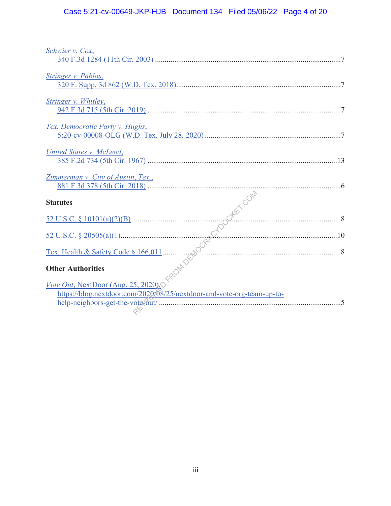# Case 5:21-cv-00649-JKP-HJB Document 134 Filed 05/06/22 Page 4 of 20

| Schwier v. Cox,                                                        |  |
|------------------------------------------------------------------------|--|
|                                                                        |  |
| Stringer v. Pablos,                                                    |  |
|                                                                        |  |
| Stringer v. Whitley,                                                   |  |
|                                                                        |  |
| Tex. Democratic Party v. Hughs,                                        |  |
|                                                                        |  |
| United States v. McLeod,                                               |  |
|                                                                        |  |
| Zimmerman v. City of Austin, Tex.,                                     |  |
|                                                                        |  |
|                                                                        |  |
|                                                                        |  |
|                                                                        |  |
|                                                                        |  |
|                                                                        |  |
|                                                                        |  |
|                                                                        |  |
|                                                                        |  |
| https://blog.nextdoor.com/2020/08/25/nextdoor-and-vote-org-team-up-to- |  |
|                                                                        |  |
|                                                                        |  |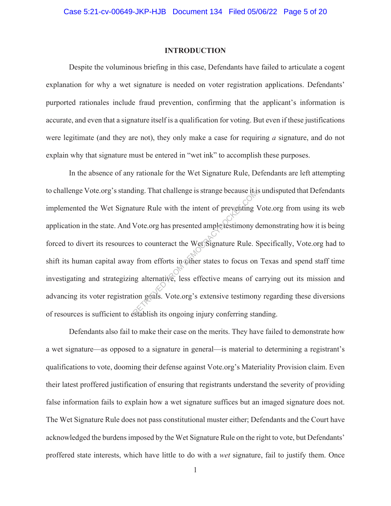#### **INTRODUCTION**

Despite the voluminous briefing in this case, Defendants have failed to articulate a cogent explanation for why a wet signature is needed on voter registration applications. Defendants' purported rationales include fraud prevention, confirming that the applicant's information is accurate, and even that a signature itself is a qualification for voting. But even if these justifications were legitimate (and they are not), they only make a case for requiring *a* signature, and do not explain why that signature must be entered in "wet ink" to accomplish these purposes.

In the absence of any rationale for the Wet Signature Rule, Defendants are left attempting to challenge Vote.org's standing. That challenge is strange because it is undisputed that Defendants implemented the Wet Signature Rule with the intent of preventing Vote.org from using its web application in the state. And Vote.org has presented ample testimony demonstrating how it is being forced to divert its resources to counteract the Wet Signature Rule. Specifically, Vote.org had to shift its human capital away from efforts in other states to focus on Texas and spend staff time investigating and strategizing alternative, less effective means of carrying out its mission and advancing its voter registration goals. Vote.org's extensive testimony regarding these diversions of resources is sufficient to establish its ongoing injury conferring standing. The Rule with the intent of preventing<br>
Wote.org has presented ample<br>
Returnancy content of preventing<br>
Sto counteract the Wett Signature Rule.<br>
Store of the Metter Signature Rule.<br>
The Stablish is oppointed in the Stablis

Defendants also fail to make their case on the merits. They have failed to demonstrate how a wet signature—as opposed to a signature in general—is material to determining a registrant's qualifications to vote, dooming their defense against Vote.org's Materiality Provision claim. Even their latest proffered justification of ensuring that registrants understand the severity of providing false information fails to explain how a wet signature suffices but an imaged signature does not. The Wet Signature Rule does not pass constitutional muster either; Defendants and the Court have acknowledged the burdens imposed by the Wet Signature Rule on the right to vote, but Defendants' proffered state interests, which have little to do with a *wet* signature, fail to justify them. Once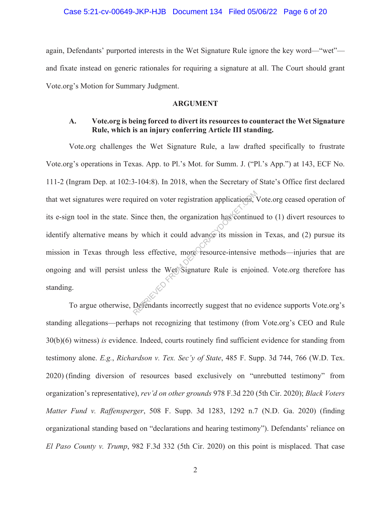#### Case 5:21-cv-00649-JKP-HJB Document 134 Filed 05/06/22 Page 6 of 20

again, Defendants' purported interests in the Wet Signature Rule ignore the key word—"wet" and fixate instead on generic rationales for requiring a signature at all. The Court should grant Vote.org's Motion for Summary Judgment.

#### **ARGUMENT**

## **A. Vote.org is being forced to divert its resources to counteract the Wet Signature Rule, which is an injury conferring Article III standing.**

Vote.org challenges the Wet Signature Rule, a law drafted specifically to frustrate Vote.org's operations in Texas. App. to Pl.'s Mot. for Summ. J. ("Pl.'s App.") at 143, ECF No. 111-2 (Ingram Dep. at 102:3-104:8). In 2018, when the Secretary of State's Office first declared that wet signatures were required on voter registration applications, Vote.org ceased operation of its e-sign tool in the state. Since then, the organization has continued to (1) divert resources to identify alternative means by which it could advance its mission in Texas, and (2) pursue its mission in Texas through less effective, more resource-intensive methods—injuries that are ongoing and will persist unless the Wet Signature Rule is enjoined. Vote.org therefore has standing. The uried on voter registration applications,

To argue otherwise, Defendants incorrectly suggest that no evidence supports Vote.org's standing allegations—perhaps not recognizing that testimony (from Vote.org's CEO and Rule 30(b)(6) witness) *is* evidence. Indeed, courts routinely find sufficient evidence for standing from testimony alone. *E.g.*, *Richardson v. Tex. Sec'y of State*, 485 F. Supp. 3d 744, 766 (W.D. Tex. 2020) (finding diversion of resources based exclusively on "unrebutted testimony" from organization's representative), *rev'd on other grounds* 978 F.3d 220 (5th Cir. 2020); *Black Voters Matter Fund v. Raffensperger*, 508 F. Supp. 3d 1283, 1292 n.7 (N.D. Ga. 2020) (finding organizational standing based on "declarations and hearing testimony"). Defendants' reliance on *El Paso County v. Trump*, 982 F.3d 332 (5th Cir. 2020) on this point is misplaced. That case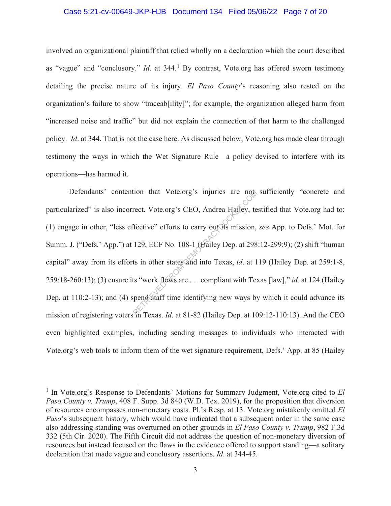#### Case 5:21-cv-00649-JKP-HJB Document 134 Filed 05/06/22 Page 7 of 20

involved an organizational plaintiff that relied wholly on a declaration which the court described as "vague" and "conclusory." *Id*. at 344.<sup>1</sup> By contrast, Vote.org has offered sworn testimony detailing the precise nature of its injury. *El Paso County*'s reasoning also rested on the organization's failure to show "traceab[ility]"; for example, the organization alleged harm from "increased noise and traffic" but did not explain the connection of that harm to the challenged policy. *Id*. at 344. That is not the case here. As discussed below, Vote.org has made clear through testimony the ways in which the Wet Signature Rule—a policy devised to interfere with its operations—has harmed it.

Defendants' contention that Vote.org's injuries are not sufficiently "concrete and particularized" is also incorrect. Vote.org's CEO, Andrea Hailey, testified that Vote.org had to: (1) engage in other, "less effective" efforts to carry out its mission, *see* App. to Defs.' Mot. for Summ. J. ("Defs.' App.") at 129, ECF No. 108-1 (Hailey Dep. at 298:12-299:9); (2) shift "human capital" away from its efforts in other states and into Texas, *id*. at 119 (Hailey Dep. at 259:1-8, 259:18-260:13); (3) ensure its "work flows are . . . compliant with Texas [law]," *id*. at 124 (Hailey Dep. at 110:2-13); and (4) spend staff time identifying new ways by which it could advance its mission of registering voters in Texas. *Id*. at 81-82 (Hailey Dep. at 109:12-110:13). And the CEO even highlighted examples, including sending messages to individuals who interacted with Vote.org's web tools to inform them of the wet signature requirement, Defs.' App. at 85 (Hailey rect. Vote.org's myuries are not<br>rect. Vote.org's CEO, Andrea Hailey, te<br>fective" efforts to carry out its mission,<br>129, ECF No. 108-1 (Hailey Dep. at 298<br>ts in other states and into Texas, *id.* at 1<br>is "work flows are ..

<sup>&</sup>lt;sup>1</sup> In Vote.org's Response to Defendants' Motions for Summary Judgment, Vote.org cited to *El Paso County v. Trump*, 408 F. Supp. 3d 840 (W.D. Tex. 2019), for the proposition that diversion of resources encompasses non-monetary costs. Pl.'s Resp. at 13. Vote.org mistakenly omitted *El Paso*'s subsequent history, which would have indicated that a subsequent order in the same case also addressing standing was overturned on other grounds in *El Paso County v. Trump*, 982 F.3d 332 (5th Cir. 2020). The Fifth Circuit did not address the question of non-monetary diversion of resources but instead focused on the flaws in the evidence offered to support standing—a solitary declaration that made vague and conclusory assertions. *Id*. at 344-45.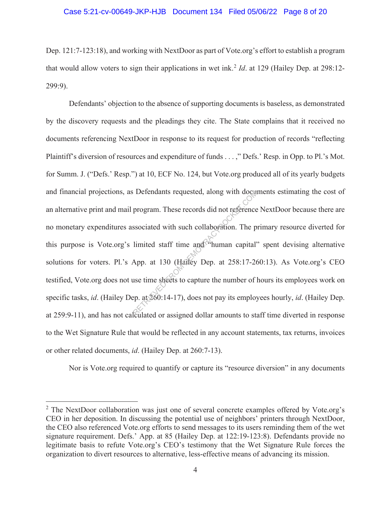#### Case 5:21-cv-00649-JKP-HJB Document 134 Filed 05/06/22 Page 8 of 20

Dep. 121:7-123:18), and working with NextDoor as part of Vote.org's effort to establish a program that would allow voters to sign their applications in wet ink.<sup>2</sup> *Id.* at 129 (Hailey Dep. at 298:12-299:9).

Defendants' objection to the absence of supporting documents is baseless, as demonstrated by the discovery requests and the pleadings they cite. The State complains that it received no documents referencing NextDoor in response to its request for production of records "reflecting Plaintiff's diversion of resources and expenditure of funds . . . ," Defs.' Resp. in Opp. to Pl.'s Mot. for Summ. J. ("Defs.' Resp.") at 10, ECF No. 124, but Vote.org produced all of its yearly budgets and financial projections, as Defendants requested, along with documents estimating the cost of an alternative print and mail program. These records did not reference NextDoor because there are no monetary expenditures associated with such collaboration. The primary resource diverted for this purpose is Vote.org's limited staff time and "human capital" spent devising alternative solutions for voters. Pl.'s App. at 130 (Hailey Dep. at 258:17-260:13). As Vote.org's CEO testified, Vote.org does not use time sheets to capture the number of hours its employees work on specific tasks, *id*. (Hailey Dep. at 260:14-17), does not pay its employees hourly, *id*. (Hailey Dep. at 259:9-11), and has not calculated or assigned dollar amounts to staff time diverted in response to the Wet Signature Rule that would be reflected in any account statements, tax returns, invoices or other related documents, *id*. (Hailey Dep. at 260:7-13). Detendants requested, along with docum<br>program. These records did not reference<br>ssociated with such collaboration. The p<br>limited staff time and "human capital"<br>App. at 130 (Hailey Dep. at 258:17-26<br>use time sheets to capt

Nor is Vote.org required to quantify or capture its "resource diversion" in any documents

<sup>&</sup>lt;sup>2</sup> The NextDoor collaboration was just one of several concrete examples offered by Vote.org's CEO in her deposition. In discussing the potential use of neighbors' printers through NextDoor, the CEO also referenced Vote.org efforts to send messages to its users reminding them of the wet signature requirement. Defs.' App. at 85 (Hailey Dep. at 122:19-123:8). Defendants provide no legitimate basis to refute Vote.org's CEO's testimony that the Wet Signature Rule forces the organization to divert resources to alternative, less-effective means of advancing its mission.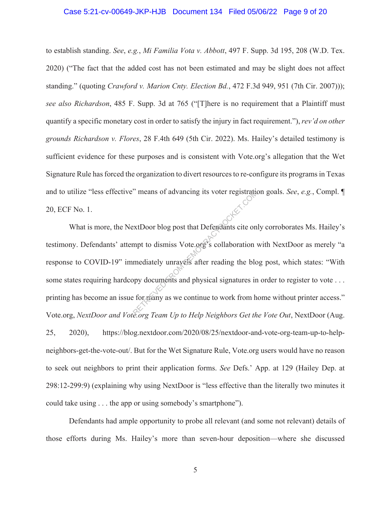#### Case 5:21-cv-00649-JKP-HJB Document 134 Filed 05/06/22 Page 9 of 20

to establish standing. *See*, *e.g.*, *Mi Familia Vota v. Abbott*, 497 F. Supp. 3d 195, 208 (W.D. Tex. 2020) ("The fact that the added cost has not been estimated and may be slight does not affect standing." (quoting *Crawford v. Marion Cnty. Election Bd.*, 472 F.3d 949, 951 (7th Cir. 2007))); *see also Richardson*, 485 F. Supp. 3d at 765 ("[T]here is no requirement that a Plaintiff must quantify a specific monetary cost in order to satisfy the injury in fact requirement."), *rev'd on other grounds Richardson v. Flores*, 28 F.4th 649 (5th Cir. 2022). Ms. Hailey's detailed testimony is sufficient evidence for these purposes and is consistent with Vote.org's allegation that the Wet Signature Rule has forced the organization to divert resources to re-configure its programs in Texas and to utilize "less effective" means of advancing its voter registration goals. *See*, *e.g.*, Compl. ¶ 20, ECF No. 1.

What is more, the NextDoor blog post that Defendants cite only corroborates Ms. Hailey's testimony. Defendants' attempt to dismiss Vote.org's collaboration with NextDoor as merely "a response to COVID-19" immediately unravels after reading the blog post, which states: "With some states requiring hardcopy documents and physical signatures in order to register to vote ... printing has become an issue for many as we continue to work from home without printer access." Vote.org, *NextDoor and Vote.org Team Up to Help Neighbors Get the Vote Out*, NextDoor (Aug. 25, 2020), https://blog.nextdoor.com/2020/08/25/nextdoor-and-vote-org-team-up-to-helpneighbors-get-the-vote-out/. But for the Wet Signature Rule, Vote.org users would have no reason to seek out neighbors to print their application forms. *See* Defs.' App. at 129 (Hailey Dep. at 298:12-299:9) (explaining why using NextDoor is "less effective than the literally two minutes it could take using . . . the app or using somebody's smartphone"). means of advancing its voter registration<br>extDoor blog post that Defendants cite on<br>mediately unrayels after reading the blog<br>ppy documents and physical signatures in<br>expected. For the Holm Neighbors Got the<br>expected Team

Defendants had ample opportunity to probe all relevant (and some not relevant) details of those efforts during Ms. Hailey's more than seven-hour deposition—where she discussed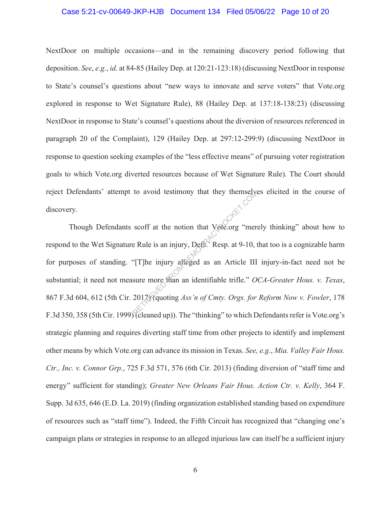#### Case 5:21-cv-00649-JKP-HJB Document 134 Filed 05/06/22 Page 10 of 20

NextDoor on multiple occasions—and in the remaining discovery period following that deposition. *See*, *e.g.*, *id*. at 84-85 (Hailey Dep. at 120:21-123:18) (discussing NextDoor in response to State's counsel's questions about "new ways to innovate and serve voters" that Vote.org explored in response to Wet Signature Rule), 88 (Hailey Dep. at 137:18-138:23) (discussing NextDoor in response to State's counsel's questions about the diversion of resources referenced in paragraph 20 of the Complaint), 129 (Hailey Dep. at 297:12-299:9) (discussing NextDoor in response to question seeking examples of the "less effective means" of pursuing voter registration goals to which Vote.org diverted resources because of Wet Signature Rule). The Court should reject Defendants' attempt to avoid testimony that they themselves elicited in the course of discovery.

Though Defendants scoff at the notion that Vote.org "merely thinking" about how to respond to the Wet Signature Rule is an injury, Defs.' Resp. at 9-10, that too is a cognizable harm for purposes of standing. "[T]he injury alleged as an Article III injury-in-fact need not be substantial; it need not measure more than an identifiable trifle." *OCA-Greater Hous. v. Texas*, 867 F.3d 604, 612 (5th Cir. 2017) (quoting *Ass'n of Cmty. Orgs. for Reform Now v. Fowler*, 178 F.3d 350, 358 (5th Cir. 1999) (cleaned up)). The "thinking" to which Defendants refer is Vote.org's strategic planning and requires diverting staff time from other projects to identify and implement other means by which Vote.org can advance its mission in Texas. *See, e.g.*, *Mia. Valley Fair Hous. Ctr., Inc. v. Connor Grp.*, 725 F.3d 571, 576 (6th Cir. 2013) (finding diversion of "staff time and energy" sufficient for standing); *Greater New Orleans Fair Hous. Action Ctr. v. Kelly*, 364 F. Supp. 3d 635, 646 (E.D. La. 2019) (finding organization established standing based on expenditure of resources such as "staff time"). Indeed, the Fifth Circuit has recognized that "changing one's campaign plans or strategies in response to an alleged injurious law can itself be a sufficient injury to avoid testimony that they themselve<br>scoff at the notion that Vote.org "mere"<br>PRIE TRIEVED FROM THE PRIE TRIEVED FROM THE HISTORY AND SURVEY OF THE SURVEY OF THE SUBSERVIET OF THE SUBSCRIPT OF THE SUBSCRIPT OF THE SUBSC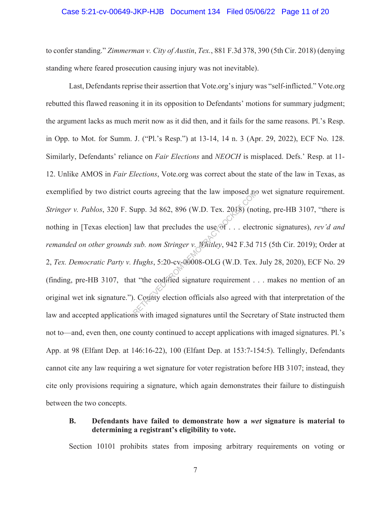#### Case 5:21-cv-00649-JKP-HJB Document 134 Filed 05/06/22 Page 11 of 20

to confer standing." *Zimmerman v. City of Austin*, *Tex.*, 881 F.3d 378, 390 (5th Cir. 2018) (denying standing where feared prosecution causing injury was not inevitable).

 Last, Defendants reprise their assertion that Vote.org's injury was "self-inflicted." Vote.org rebutted this flawed reasoning it in its opposition to Defendants' motions for summary judgment; the argument lacks as much merit now as it did then, and it fails for the same reasons. Pl.'s Resp. in Opp. to Mot. for Summ. J. ("Pl.'s Resp.") at 13-14, 14 n. 3 (Apr. 29, 2022), ECF No. 128. Similarly, Defendants' reliance on *Fair Elections* and *NEOCH* is misplaced. Defs.' Resp. at 11- 12. Unlike AMOS in *Fair Elections*, Vote.org was correct about the state of the law in Texas, as exemplified by two district courts agreeing that the law imposed no wet signature requirement. *Stringer v. Pablos*, 320 F. Supp. 3d 862, 896 (W.D. Tex. 2018) (noting, pre-HB 3107, "there is nothing in [Texas election] law that precludes the use of . . . electronic signatures), *rev'd and remanded on other grounds sub. nom Stringer v. Whitley*, 942 F.3d 715 (5th Cir. 2019); Order at 2, *Tex. Democratic Party v. Hughs*, 5:20-cv-00008-OLG (W.D. Tex. July 28, 2020), ECF No. 29 (finding, pre-HB 3107, that "the codified signature requirement . . . makes no mention of an original wet ink signature."). County election officials also agreed with that interpretation of the law and accepted applications with imaged signatures until the Secretary of State instructed them not to—and, even then, one county continued to accept applications with imaged signatures. Pl.'s App. at 98 (Elfant Dep. at 146:16-22), 100 (Elfant Dep. at 153:7-154:5). Tellingly, Defendants cannot cite any law requiring a wet signature for voter registration before HB 3107; instead, they cite only provisions requiring a signature, which again demonstrates their failure to distinguish between the two concepts. courts agreeing that the law imposed not<br>
upp. 3d 862, 896 (W.D. Tex. 2018) (no<br>
law that precludes the use of  $\ldots$  elect<br>
sub. nom Stringer v. Whitley, 942 F.3d 7<br>
Hughs, 5:20-cv-00008-OLG (W.D. Tex.<br>
it "the codified s

## **B. Defendants have failed to demonstrate how a** *wet* **signature is material to determining a registrant's eligibility to vote.**

Section 10101 prohibits states from imposing arbitrary requirements on voting or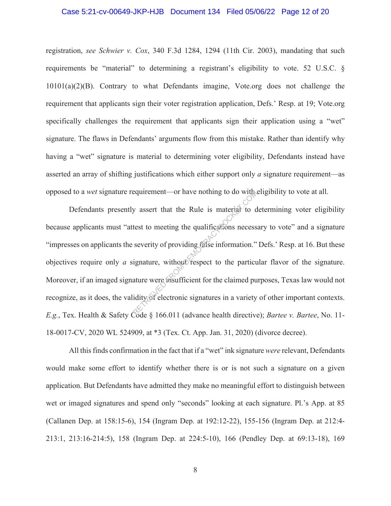#### Case 5:21-cv-00649-JKP-HJB Document 134 Filed 05/06/22 Page 12 of 20

registration, *see Schwier v. Cox*, 340 F.3d 1284, 1294 (11th Cir. 2003), mandating that such requirements be "material" to determining a registrant's eligibility to vote. 52 U.S.C. § 10101(a)(2)(B). Contrary to what Defendants imagine, Vote.org does not challenge the requirement that applicants sign their voter registration application, Defs.' Resp. at 19; Vote.org specifically challenges the requirement that applicants sign their application using a "wet" signature. The flaws in Defendants' arguments flow from this mistake. Rather than identify why having a "wet" signature is material to determining voter eligibility, Defendants instead have asserted an array of shifting justifications which either support only *a* signature requirement—as opposed to a *wet* signature requirement—or have nothing to do with eligibility to vote at all.

Defendants presently assert that the Rule is material to determining voter eligibility because applicants must "attest to meeting the qualifications necessary to vote" and a signature "impresses on applicants the severity of providing false information." Defs.' Resp. at 16. But these objectives require only *a* signature, without respect to the particular flavor of the signature. Moreover, if an imaged signature were insufficient for the claimed purposes, Texas law would not recognize, as it does, the validity of electronic signatures in a variety of other important contexts. *E.g.*, Tex. Health & Safety Code § 166.011 (advance health directive); *Bartee v. Bartee*, No. 11- 18-0017-CV, 2020 WL 524909, at \*3 (Tex. Ct. App. Jan. 31, 2020) (divorce decree). equirement—or have nothing to do with<br>y assert that the Rule is material to d<br>test to meeting the qualifications necess<br>severity of providing false information."<br>ignature, without respect to the particu<br>ature were insuffic

All this finds confirmation in the fact that if a "wet" ink signature *were* relevant, Defendants would make some effort to identify whether there is or is not such a signature on a given application. But Defendants have admitted they make no meaningful effort to distinguish between wet or imaged signatures and spend only "seconds" looking at each signature. Pl.'s App. at 85 (Callanen Dep. at 158:15-6), 154 (Ingram Dep. at 192:12-22), 155-156 (Ingram Dep. at 212:4- 213:1, 213:16-214:5), 158 (Ingram Dep. at 224:5-10), 166 (Pendley Dep. at 69:13-18), 169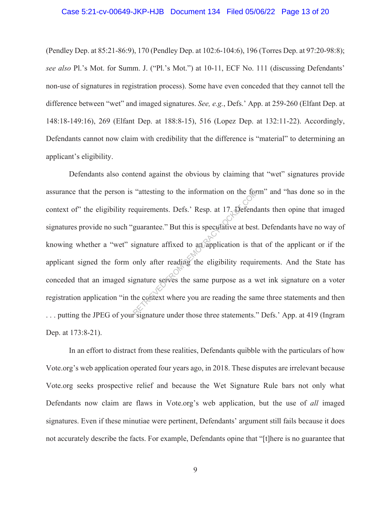#### Case 5:21-cv-00649-JKP-HJB Document 134 Filed 05/06/22 Page 13 of 20

(Pendley Dep. at 85:21-86:9), 170 (Pendley Dep. at 102:6-104:6), 196 (Torres Dep. at 97:20-98:8); *see also* Pl.'s Mot. for Summ. J. ("Pl.'s Mot.") at 10-11, ECF No. 111 (discussing Defendants' non-use of signatures in registration process). Some have even conceded that they cannot tell the difference between "wet" and imaged signatures. *See, e.g.*, Defs.' App. at 259-260 (Elfant Dep. at 148:18-149:16), 269 (Elfant Dep. at 188:8-15), 516 (Lopez Dep. at 132:11-22). Accordingly, Defendants cannot now claim with credibility that the difference is "material" to determining an applicant's eligibility.

Defendants also contend against the obvious by claiming that "wet" signatures provide assurance that the person is "attesting to the information on the form" and "has done so in the context of" the eligibility requirements. Defs.' Resp. at 17. Defendants then opine that imaged signatures provide no such "guarantee." But this is speculative at best. Defendants have no way of knowing whether a "wet" signature affixed to an application is that of the applicant or if the applicant signed the form only after reading the eligibility requirements. And the State has conceded that an imaged signature serves the same purpose as a wet ink signature on a voter registration application "in the context where you are reading the same three statements and then . . . putting the JPEG of your signature under those three statements." Defs.' App. at 419 (Ingram Dep. at 173:8-21). attesting to the information on the tom-<br>equirements. Defs.' Resp. at 17. Defend<br>guarantee." But this is speculative at best<br>ignature affixed to an application is the<br>only after reading the eligibility require<br>gnature serv

In an effort to distract from these realities, Defendants quibble with the particulars of how Vote.org's web application operated four years ago, in 2018. These disputes are irrelevant because Vote.org seeks prospective relief and because the Wet Signature Rule bars not only what Defendants now claim are flaws in Vote.org's web application, but the use of *all* imaged signatures. Even if these minutiae were pertinent, Defendants' argument still fails because it does not accurately describe the facts. For example, Defendants opine that "[t]here is no guarantee that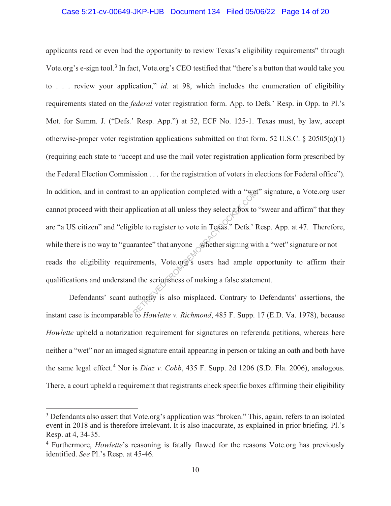#### Case 5:21-cv-00649-JKP-HJB Document 134 Filed 05/06/22 Page 14 of 20

applicants read or even had the opportunity to review Texas's eligibility requirements" through Vote.org's e-sign tool.<sup>3</sup> In fact, Vote.org's CEO testified that "there's a button that would take you to . . . review your application," *id.* at 98, which includes the enumeration of eligibility requirements stated on the *federal* voter registration form. App. to Defs.' Resp. in Opp. to Pl.'s Mot. for Summ. J. ("Defs.' Resp. App.") at 52, ECF No. 125-1. Texas must, by law, accept otherwise-proper voter registration applications submitted on that form. 52 U.S.C. § 20505(a)(1) (requiring each state to "accept and use the mail voter registration application form prescribed by the Federal Election Commission . . . for the registration of voters in elections for Federal office"). In addition, and in contrast to an application completed with a "wet" signature, a Vote.org user cannot proceed with their application at all unless they select  $\alpha$  box to "swear and affirm" that they are "a US citizen" and "eligible to register to vote in Texas." Defs.' Resp. App. at 47. Therefore, while there is no way to "guarantee" that anyone—whether signing with a "wet" signature or not reads the eligibility requirements, Vote.org's users had ample opportunity to affirm their qualifications and understand the seriousness of making a false statement. to an application completed with a "wet<br>plication at all unless they select a box to<br>ible to register to vote in Texas." Defs.' I<br>rantee" that anyone—whether signing wi<br>ements, Vote.org's users had ample<br>of the seriousness

Defendants' scant authority is also misplaced. Contrary to Defendants' assertions, the instant case is incomparable to *Howlette v. Richmond*, 485 F. Supp. 17 (E.D. Va. 1978), because *Howlette* upheld a notarization requirement for signatures on referenda petitions, whereas here neither a "wet" nor an imaged signature entail appearing in person or taking an oath and both have the same legal effect.<sup>4</sup> Nor is *Diaz v. Cobb*, 435 F. Supp. 2d 1206 (S.D. Fla. 2006), analogous. There, a court upheld a requirement that registrants check specific boxes affirming their eligibility

<sup>&</sup>lt;sup>3</sup> Defendants also assert that Vote.org's application was "broken." This, again, refers to an isolated event in 2018 and is therefore irrelevant. It is also inaccurate, as explained in prior briefing. Pl.'s Resp. at 4, 34-35.

<sup>4</sup> Furthermore, *Howlette*'s reasoning is fatally flawed for the reasons Vote.org has previously identified. *See* Pl.'s Resp. at 45-46.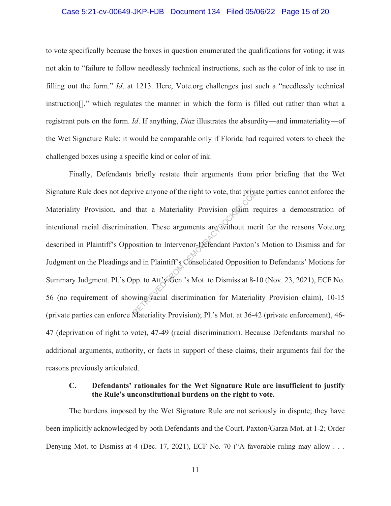#### Case 5:21-cv-00649-JKP-HJB Document 134 Filed 05/06/22 Page 15 of 20

to vote specifically because the boxes in question enumerated the qualifications for voting; it was not akin to "failure to follow needlessly technical instructions, such as the color of ink to use in filling out the form." *Id*. at 1213. Here, Vote.org challenges just such a "needlessly technical instruction[]," which regulates the manner in which the form is filled out rather than what a registrant puts on the form. *Id*. If anything, *Diaz* illustrates the absurdity—and immateriality—of the Wet Signature Rule: it would be comparable only if Florida had required voters to check the challenged boxes using a specific kind or color of ink.

Finally, Defendants briefly restate their arguments from prior briefing that the Wet Signature Rule does not deprive anyone of the right to vote, that private parties cannot enforce the Materiality Provision, and that a Materiality Provision claim requires a demonstration of intentional racial discrimination. These arguments are without merit for the reasons Vote.org described in Plaintiff's Opposition to Intervenor-Defendant Paxton's Motion to Dismiss and for Judgment on the Pleadings and in Plaintiff's Consolidated Opposition to Defendants' Motions for Summary Judgment. Pl.'s Opp. to Att'y Gen.'s Mot. to Dismiss at 8-10 (Nov. 23, 2021), ECF No. 56 (no requirement of showing racial discrimination for Materiality Provision claim), 10-15 (private parties can enforce Materiality Provision); Pl.'s Mot. at 36-42 (private enforcement), 46- 47 (deprivation of right to vote), 47-49 (racial discrimination). Because Defendants marshal no additional arguments, authority, or facts in support of these claims, their arguments fail for the reasons previously articulated. rive anyone of the right to vote, that private that a Materiality Provision claim reduction.<br>These arguments are without merosition to Intervenor-Defendant Paxton's<br>and in Plaintiff's Consolidated Opposition<br>pp. to Att'y G

## **C. Defendants' rationales for the Wet Signature Rule are insufficient to justify the Rule's unconstitutional burdens on the right to vote.**

The burdens imposed by the Wet Signature Rule are not seriously in dispute; they have been implicitly acknowledged by both Defendants and the Court. Paxton/Garza Mot. at 1-2; Order Denying Mot. to Dismiss at 4 (Dec. 17, 2021), ECF No. 70 ("A favorable ruling may allow . . .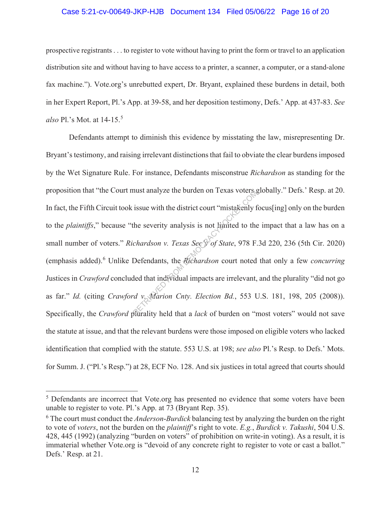#### Case 5:21-cv-00649-JKP-HJB Document 134 Filed 05/06/22 Page 16 of 20

prospective registrants . . . to register to vote without having to print the form or travel to an application distribution site and without having to have access to a printer, a scanner, a computer, or a stand-alone fax machine."). Vote.org's unrebutted expert, Dr. Bryant, explained these burdens in detail, both in her Expert Report, Pl.'s App. at 39-58, and her deposition testimony, Defs.' App. at 437-83. *See also* Pl.'s Mot. at 14-15.<sup>5</sup>

Defendants attempt to diminish this evidence by misstating the law, misrepresenting Dr. Bryant's testimony, and raising irrelevant distinctions that fail to obviate the clear burdens imposed by the Wet Signature Rule. For instance, Defendants misconstrue *Richardson* as standing for the proposition that "the Court must analyze the burden on Texas voters globally." Defs.' Resp. at 20. In fact, the Fifth Circuit took issue with the district court "mistakenly focus[ing] only on the burden to the *plaintiffs*," because "the severity analysis is not limited to the impact that a law has on a small number of voters." *Richardson v. Texas Sec'y of State*, 978 F.3d 220, 236 (5th Cir. 2020) (emphasis added).<sup>6</sup> Unlike Defendants, the *Richardson* court noted that only a few *concurring* Justices in *Crawford* concluded that individual impacts are irrelevant, and the plurality "did not go as far." *Id.* (citing *Crawford v. Marion Cnty. Election Bd.*, 553 U.S. 181, 198, 205 (2008)). Specifically, the *Crawford* plurality held that a *lack* of burden on "most voters" would not save the statute at issue, and that the relevant burdens were those imposed on eligible voters who lacked identification that complied with the statute. 553 U.S. at 198; *see also* Pl.'s Resp. to Defs.' Mots. for Summ. J. ("Pl.'s Resp.") at 28, ECF No. 128. And six justices in total agreed that courts should The severity analysis is not kinited to the<br>democracy analysis is not kinited to the<br>chardson v. Texas See  $\sqrt[p]{}$  of State, 978 F.<br>Defendants, the *Richardson* court noted<br>ded that individual impacts are irrelevant,<br>d v.

<sup>&</sup>lt;sup>5</sup> Defendants are incorrect that Vote.org has presented no evidence that some voters have been unable to register to vote. Pl.'s App. at 73 (Bryant Rep. 35).

<sup>6</sup> The court must conduct the *Anderson*-*Burdick* balancing test by analyzing the burden on the right to vote of *voters*, not the burden on the *plaintiff*'s right to vote. *E.g.*, *Burdick v. Takushi*, 504 U.S. 428, 445 (1992) (analyzing "burden on voters" of prohibition on write-in voting). As a result, it is immaterial whether Vote.org is "devoid of any concrete right to register to vote or cast a ballot." Defs.' Resp. at 21.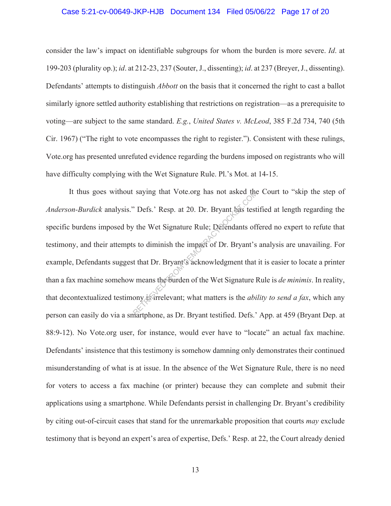#### Case 5:21-cv-00649-JKP-HJB Document 134 Filed 05/06/22 Page 17 of 20

consider the law's impact on identifiable subgroups for whom the burden is more severe. *Id*. at 199-203 (plurality op.); *id*. at 212-23, 237 (Souter, J., dissenting); *id*. at 237 (Breyer, J., dissenting). Defendants' attempts to distinguish *Abbott* on the basis that it concerned the right to cast a ballot similarly ignore settled authority establishing that restrictions on registration—as a prerequisite to voting—are subject to the same standard. *E.g.*, *United States v. McLeod*, 385 F.2d 734, 740 (5th Cir. 1967) ("The right to vote encompasses the right to register."). Consistent with these rulings, Vote.org has presented unrefuted evidence regarding the burdens imposed on registrants who will have difficulty complying with the Wet Signature Rule. Pl.'s Mot. at 14-15.

It thus goes without saying that Vote.org has not asked the Court to "skip the step of *Anderson-Burdick* analysis." Defs.' Resp. at 20. Dr. Bryant has testified at length regarding the specific burdens imposed by the Wet Signature Rule; Defendants offered no expert to refute that testimony, and their attempts to diminish the impact of Dr. Bryant's analysis are unavailing. For example, Defendants suggest that Dr. Bryant's acknowledgment that it is easier to locate a printer than a fax machine somehow means the burden of the Wet Signature Rule is *de minimis*. In reality, that decontextualized testimony is irrelevant; what matters is the *ability to send a fax*, which any person can easily do via a smartphone, as Dr. Bryant testified. Defs.' App. at 459 (Bryant Dep. at 88:9-12). No Vote.org user, for instance, would ever have to "locate" an actual fax machine. Defendants' insistence that this testimony is somehow damning only demonstrates their continued misunderstanding of what is at issue. In the absence of the Wet Signature Rule, there is no need for voters to access a fax machine (or printer) because they can complete and submit their applications using a smartphone. While Defendants persist in challenging Dr. Bryant's credibility by citing out-of-circuit cases that stand for the unremarkable proposition that courts *may* exclude testimony that is beyond an expert's area of expertise, Defs.' Resp. at 22, the Court already denied Example 18 and the Correction of the Wet Signature Rule; Defendants of the Wet Signature Rule; Defendants of the Wet Signature Rule; Defendants of the Wet Signature is that Dr. Bryant's acknowledgment that  $\nu$  means the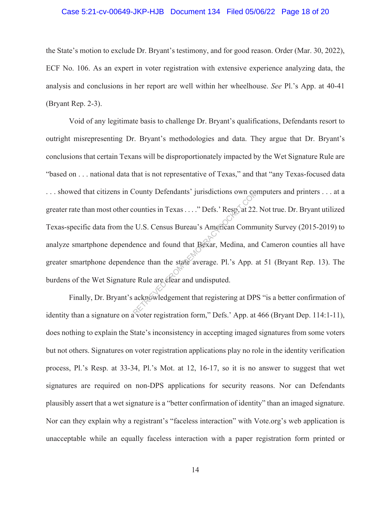#### Case 5:21-cv-00649-JKP-HJB Document 134 Filed 05/06/22 Page 18 of 20

the State's motion to exclude Dr. Bryant's testimony, and for good reason. Order (Mar. 30, 2022), ECF No. 106. As an expert in voter registration with extensive experience analyzing data, the analysis and conclusions in her report are well within her wheelhouse. *See* Pl.'s App. at 40-41 (Bryant Rep. 2-3).

Void of any legitimate basis to challenge Dr. Bryant's qualifications, Defendants resort to outright misrepresenting Dr. Bryant's methodologies and data. They argue that Dr. Bryant's conclusions that certain Texans will be disproportionately impacted by the Wet Signature Rule are "based on . . . national data that is not representative of Texas," and that "any Texas-focused data . . . showed that citizens in County Defendants' jurisdictions own computers and printers . . . at a greater rate than most other counties in Texas . . . ." Defs.' Resp. at 22. Not true. Dr. Bryant utilized Texas-specific data from the U.S. Census Bureau's American Community Survey (2015-2019) to analyze smartphone dependence and found that Bexar, Medina, and Cameron counties all have greater smartphone dependence than the state average. Pl.'s App. at 51 (Bryant Rep. 13). The burdens of the Wet Signature Rule are clear and undisputed. County Detendants' jurisdictions own concluded:<br>
Counties in Texas ...." Defs.' Resp. at 22.<br>
U.S. Census Bureau's American Commence and found that Bexar, Medina, and<br>
ence than the state average. Pl.'s App. at<br>
e Rule are

Finally, Dr. Bryant's acknowledgement that registering at DPS "is a better confirmation of identity than a signature on a voter registration form," Defs.' App. at 466 (Bryant Dep. 114:1-11), does nothing to explain the State's inconsistency in accepting imaged signatures from some voters but not others. Signatures on voter registration applications play no role in the identity verification process, Pl.'s Resp. at 33-34, Pl.'s Mot. at 12, 16-17, so it is no answer to suggest that wet signatures are required on non-DPS applications for security reasons. Nor can Defendants plausibly assert that a wet signature is a "better confirmation of identity" than an imaged signature. Nor can they explain why a registrant's "faceless interaction" with Vote.org's web application is unacceptable while an equally faceless interaction with a paper registration form printed or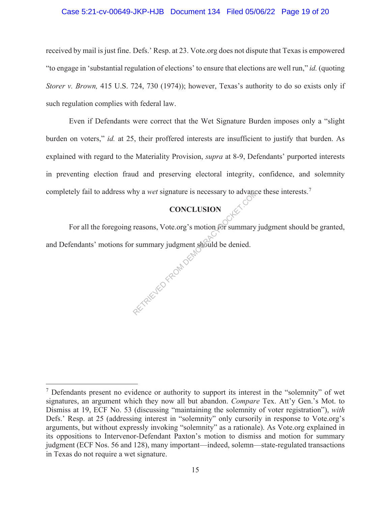#### Case 5:21-cv-00649-JKP-HJB Document 134 Filed 05/06/22 Page 19 of 20

received by mail is just fine. Defs.' Resp. at 23. Vote.org does not dispute that Texas is empowered "to engage in 'substantial regulation of elections' to ensure that elections are well run," *id.* (quoting *Storer v. Brown,* 415 U.S. 724, 730 (1974)); however, Texas's authority to do so exists only if such regulation complies with federal law.

Even if Defendants were correct that the Wet Signature Burden imposes only a "slight burden on voters," *id.* at 25, their proffered interests are insufficient to justify that burden. As explained with regard to the Materiality Provision, *supra* at 8-9, Defendants' purported interests in preventing election fraud and preserving electoral integrity, confidence, and solemnity completely fail to address why a *wet* signature is necessary to advance these interests.<sup>7</sup>

# **CONCLUSION**

For all the foregoing reasons, Vote.org's motion for summary judgment should be granted, and Defendants' motions for summary judgment should be denied. AETRIEVED FROM DEM

 $<sup>7</sup>$  Defendants present no evidence or authority to support its interest in the "solemnity" of wet</sup> signatures, an argument which they now all but abandon. *Compare* Tex. Att'y Gen.'s Mot. to Dismiss at 19, ECF No. 53 (discussing "maintaining the solemnity of voter registration"), *with* Defs.' Resp. at 25 (addressing interest in "solemnity" only cursorily in response to Vote.org's arguments, but without expressly invoking "solemnity" as a rationale). As Vote.org explained in its oppositions to Intervenor-Defendant Paxton's motion to dismiss and motion for summary judgment (ECF Nos. 56 and 128), many important—indeed, solemn—state-regulated transactions in Texas do not require a wet signature.